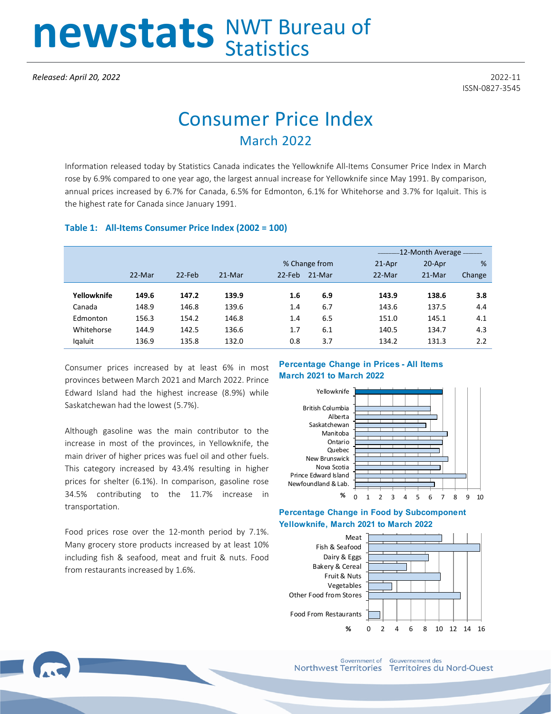# newstats NWT Bureau of

ISSN-0827-3545

## Consumer Price Index March 2022

Information released today by Statistics Canada indicates the Yellowknife All-Items Consumer Price Index in March rose by 6.9% compared to one year ago, the largest annual increase for Yellowknife since May 1991. By comparison, annual prices increased by 6.7% for Canada, 6.5% for Edmonton, 6.1% for Whitehorse and 3.7% for Iqaluit. This is the highest rate for Canada since January 1991.

#### **Table 1: All-Items Consumer Price Index (2002 = 100)**

|             |        |           |        |               |        |           | -12-Month Average - - - - - - |        |  |  |
|-------------|--------|-----------|--------|---------------|--------|-----------|-------------------------------|--------|--|--|
|             |        |           |        | % Change from |        | $21$ -Apr | 20-Apr                        | %      |  |  |
|             | 22-Mar | $22$ -Feb | 21-Mar | $22$ -Feb     | 21-Mar | 22-Mar    | 21-Mar                        | Change |  |  |
|             |        |           |        |               |        |           |                               |        |  |  |
| Yellowknife | 149.6  | 147.2     | 139.9  | 1.6           | 6.9    | 143.9     | 138.6                         | 3.8    |  |  |
| Canada      | 148.9  | 146.8     | 139.6  | 1.4           | 6.7    | 143.6     | 137.5                         | 4.4    |  |  |
| Edmonton    | 156.3  | 154.2     | 146.8  | 1.4           | 6.5    | 151.0     | 145.1                         | 4.1    |  |  |
| Whitehorse  | 144.9  | 142.5     | 136.6  | 1.7           | 6.1    | 140.5     | 134.7                         | 4.3    |  |  |
| Igaluit     | 136.9  | 135.8     | 132.0  | 0.8           | 3.7    | 134.2     | 131.3                         | 2.2    |  |  |

Consumer prices increased by at least 6% in most provinces between March 2021 and March 2022. Prince Edward Island had the highest increase (8.9%) while Saskatchewan had the lowest (5.7%).

Although gasoline was the main contributor to the increase in most of the provinces, in Yellowknife, the main driver of higher prices was fuel oil and other fuels. This category increased by 43.4% resulting in higher prices for shelter (6.1%). In comparison, gasoline rose 34.5% contributing to the 11.7% increase in transportation.

Food prices rose over the 12-month period by 7.1%. Many grocery store products increased by at least 10% including fish & seafood, meat and fruit & nuts. Food from restaurants increased by 1.6%.

#### **Percentage Change in Prices - All Items March 2021 to March 2022**



#### **Percentage Change in Food by Subcomponent Yellowknife, March 2021 to March 2022**



**Government of Gouvernement des** Northwest Territories Territoires du Nord-Ouest